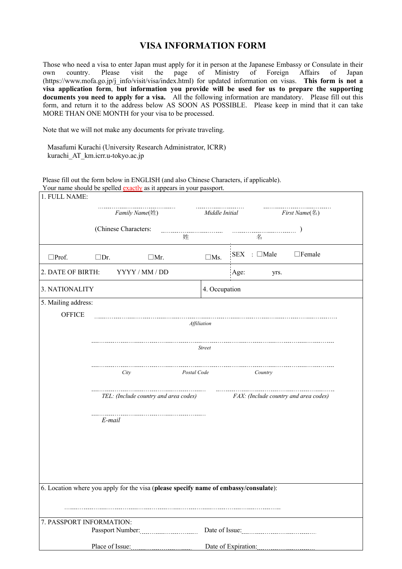## **VISA INFORMATION FORM**

Those who need a visa to enter Japan must apply for it in person at the Japanese Embassy or Consulate in their own country. Please visit the page of Ministry of Foreign Affairs of Japan (https://www.mofa.go.jp/j\_info/visit/visa/index.html) for updated information on visas. **This form is not a visa application form**, **but information you provide will be used for us to prepare the supporting documents you need to apply for a visa.** All the following information are mandatory. Please fill out this form, and return it to the address below AS SOON AS POSSIBLE. Please keep in mind that it can take MORE THAN ONE MONTH for your visa to be processed.

Note that we will not make any documents for private traveling.

Masafumi Kurachi (University Research Administrator, ICRR) kurachi\_AT\_km.icrr.u-tokyo.ac.jp

Please fill out the form below in ENGLISH (and also Chinese Characters, if applicable).

|                          | Your name should be spelled exactly as it appears in your passport.                  |                                       |                                      |  |  |  |  |  |  |  |
|--------------------------|--------------------------------------------------------------------------------------|---------------------------------------|--------------------------------------|--|--|--|--|--|--|--|
| 1. FULL NAME:            |                                                                                      |                                       |                                      |  |  |  |  |  |  |  |
|                          | Family Name(姓)                                                                       | Middle Initial                        | First Name(名)                        |  |  |  |  |  |  |  |
|                          | (Chinese Characters:                                                                 |                                       |                                      |  |  |  |  |  |  |  |
|                          | 姓                                                                                    |                                       | 名                                    |  |  |  |  |  |  |  |
| $\square$ Prof.          | $\square$ Dr.<br>$\Box$ Mr.                                                          | $\square$ Ms.                         | $SEX$ : $\Box$ Male<br>$\Box$ Female |  |  |  |  |  |  |  |
| 2. DATE OF BIRTH:        | YYYY / MM / DD                                                                       |                                       | Age:<br>yrs.                         |  |  |  |  |  |  |  |
| 3. NATIONALITY           |                                                                                      |                                       | 4. Occupation                        |  |  |  |  |  |  |  |
| 5. Mailing address:      |                                                                                      |                                       |                                      |  |  |  |  |  |  |  |
| <b>OFFICE</b>            |                                                                                      |                                       |                                      |  |  |  |  |  |  |  |
|                          | Affiliation                                                                          |                                       |                                      |  |  |  |  |  |  |  |
|                          |                                                                                      |                                       |                                      |  |  |  |  |  |  |  |
|                          | Street                                                                               |                                       |                                      |  |  |  |  |  |  |  |
|                          |                                                                                      |                                       |                                      |  |  |  |  |  |  |  |
|                          | Postal Code<br>City                                                                  |                                       | Country                              |  |  |  |  |  |  |  |
|                          | TEL: (Include country and area codes)                                                | FAX: (Include country and area codes) |                                      |  |  |  |  |  |  |  |
|                          | E-mail                                                                               |                                       |                                      |  |  |  |  |  |  |  |
|                          |                                                                                      |                                       |                                      |  |  |  |  |  |  |  |
|                          |                                                                                      |                                       |                                      |  |  |  |  |  |  |  |
|                          |                                                                                      |                                       |                                      |  |  |  |  |  |  |  |
|                          | 6. Location where you apply for the visa (please specify name of embassy/consulate): |                                       |                                      |  |  |  |  |  |  |  |
|                          |                                                                                      |                                       |                                      |  |  |  |  |  |  |  |
|                          |                                                                                      |                                       |                                      |  |  |  |  |  |  |  |
| 7. PASSPORT INFORMATION: |                                                                                      |                                       |                                      |  |  |  |  |  |  |  |
|                          |                                                                                      |                                       | Date of Issue:                       |  |  |  |  |  |  |  |
|                          | Place of Issue:                                                                      |                                       | Date of Expiration:                  |  |  |  |  |  |  |  |